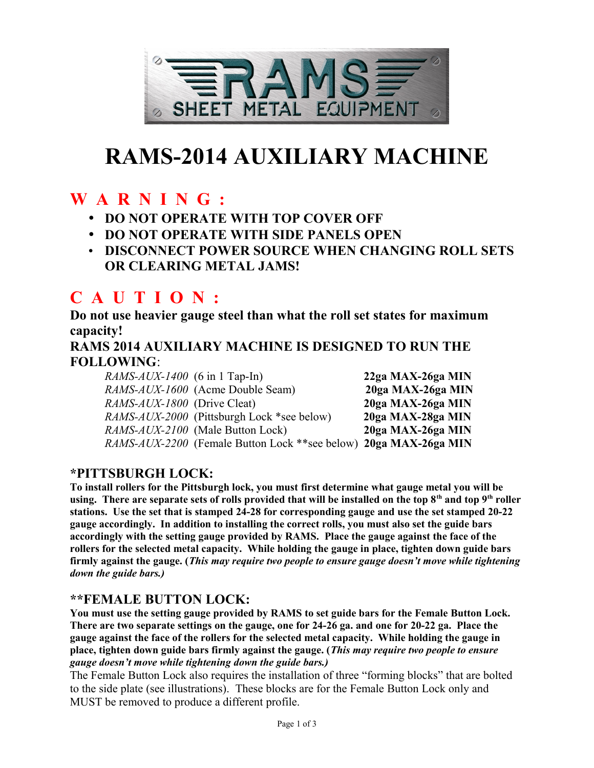

# **RAMS-2014 AUXILIARY MACHINE**

## **W A R N I N G :**

- **DO NOT OPERATE WITH TOP COVER OFF**
- **DO NOT OPERATE WITH SIDE PANELS OPEN**
- **DISCONNECT POWER SOURCE WHEN CHANGING ROLL SETS OR CLEARING METAL JAMS!**

## **C A U T I O N :**

**Do not use heavier gauge steel than what the roll set states for maximum capacity!**

**RAMS 2014 AUXILIARY MACHINE IS DESIGNED TO RUN THE FOLLOWING**:

*RAMS-AUX-1400* (6 in 1 Tap-In) **22ga MAX-26ga MIN** *RAMS-AUX-1600* (Acme Double Seam) **20ga MAX-26ga MIN** *RAMS-AUX-1800* (Drive Cleat) **20ga MAX-26ga MIN** *RAMS-AUX-2000* (Pittsburgh Lock \*see below) **20ga MAX-28ga MIN** *RAMS-AUX-2100* (Male Button Lock) **20ga MAX-26ga MIN** *RAMS-AUX-2200* (Female Button Lock \*\*see below) **20ga MAX-26ga MIN**

#### **\*PITTSBURGH LOCK:**

**To install rollers for the Pittsburgh lock, you must first determine what gauge metal you will be using. There are separate sets of rolls provided that will be installed on the top 8th and top 9th roller stations. Use the set that is stamped 24-28 for corresponding gauge and use the set stamped 20-22 gauge accordingly. In addition to installing the correct rolls, you must also set the guide bars accordingly with the setting gauge provided by RAMS. Place the gauge against the face of the rollers for the selected metal capacity. While holding the gauge in place, tighten down guide bars firmly against the gauge. (***This may require two people to ensure gauge doesn't move while tightening down the guide bars.)*

#### **\*\*FEMALE BUTTON LOCK:**

**You must use the setting gauge provided by RAMS to set guide bars for the Female Button Lock. There are two separate settings on the gauge, one for 24-26 ga. and one for 20-22 ga. Place the gauge against the face of the rollers for the selected metal capacity. While holding the gauge in place, tighten down guide bars firmly against the gauge. (***This may require two people to ensure gauge doesn't move while tightening down the guide bars.)*

The Female Button Lock also requires the installation of three "forming blocks" that are bolted to the side plate (see illustrations). These blocks are for the Female Button Lock only and MUST be removed to produce a different profile.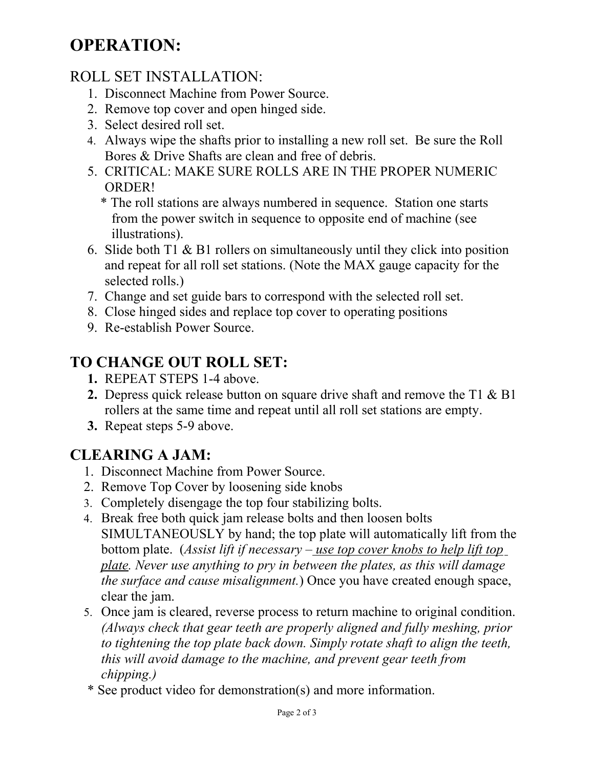# **OPERATION:**

### ROLL SET INSTALLATION:

- 1. Disconnect Machine from Power Source.
- 2. Remove top cover and open hinged side.
- 3. Select desired roll set.
- 4. Always wipe the shafts prior to installing a new roll set. Be sure the Roll Bores & Drive Shafts are clean and free of debris.
- 5. CRITICAL: MAKE SURE ROLLS ARE IN THE PROPER NUMERIC ORDER!
	- \* The roll stations are always numbered in sequence. Station one starts from the power switch in sequence to opposite end of machine (see illustrations).
- 6. Slide both T1 & B1 rollers on simultaneously until they click into position and repeat for all roll set stations. (Note the MAX gauge capacity for the selected rolls.)
- 7. Change and set guide bars to correspond with the selected roll set.
- 8. Close hinged sides and replace top cover to operating positions
- 9. Re-establish Power Source.

## **TO CHANGE OUT ROLL SET:**

- **1.** REPEAT STEPS 1-4 above.
- **2.** Depress quick release button on square drive shaft and remove the T1 & B1 rollers at the same time and repeat until all roll set stations are empty.
- **3.** Repeat steps 5-9 above.

## **CLEARING A JAM:**

- 1. Disconnect Machine from Power Source.
- 2. Remove Top Cover by loosening side knobs
- 3. Completely disengage the top four stabilizing bolts.
- 4. Break free both quick jam release bolts and then loosen bolts SIMULTANEOUSLY by hand; the top plate will automatically lift from the bottom plate. (*Assist lift if necessary – use top cover knobs to help lift top plate. Never use anything to pry in between the plates, as this will damage the surface and cause misalignment.*) Once you have created enough space, clear the jam.
- 5. Once jam is cleared, reverse process to return machine to original condition. *(Always check that gear teeth are properly aligned and fully meshing, prior to tightening the top plate back down. Simply rotate shaft to align the teeth, this will avoid damage to the machine, and prevent gear teeth from chipping.)*
- \* See product video for demonstration(s) and more information.